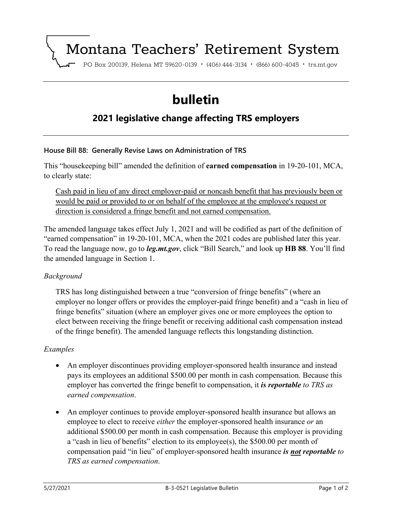# Montana Teachers' Retirement System

PO Box 200139, Helena MT 59620-0139 · (406) 444-3134 · (866) 600-4045 · trs.mt.gov

# **bulletin**

# **2021 legislative change affecting TRS employers**

### **House Bill 88: Generally Revise Laws on Administration of TRS**

This "housekeeping bill" amended the definition of **earned compensation** in 19-20-101, MCA, to clearly state:

Cash paid in lieu of any direct employer-paid or noncash benefit that has previously been or would be paid or provided to or on behalf of the employee at the employee's request or direction is considered a fringe benefit and not earned compensation.

The amended language takes effect July 1, 2021 and will be codified as part of the definition of "earned compensation" in 19-20-101, MCA, when the 2021 codes are published later this year. To read the language now, go to *leg.mt.gov*, click "Bill Search," and look up **HB 88**. You'll find the amended language in Section 1.

#### *Background*

TRS has long distinguished between a true "conversion of fringe benefits" (where an employer no longer offers or provides the employer-paid fringe benefit) and a "cash in lieu of fringe benefits" situation (where an employer gives one or more employees the option to elect between receiving the fringe benefit or receiving additional cash compensation instead of the fringe benefit). The amended language reflects this longstanding distinction.

### *Examples*

- An employer discontinues providing employer-sponsored health insurance and instead pays its employees an additional \$500.00 per month in cash compensation. Because this employer has converted the fringe benefit to compensation, it *is reportable to TRS as earned compensation*.
- An employer continues to provide employer-sponsored health insurance but allows an employee to elect to receive *either* the employer-sponsored health insurance *or* an additional \$500.00 per month in cash compensation. Because this employer is providing a "cash in lieu of benefits" election to its employee(s), the \$500.00 per month of compensation paid "in lieu" of employer-sponsored health insurance *is not reportable to TRS as earned compensation*.